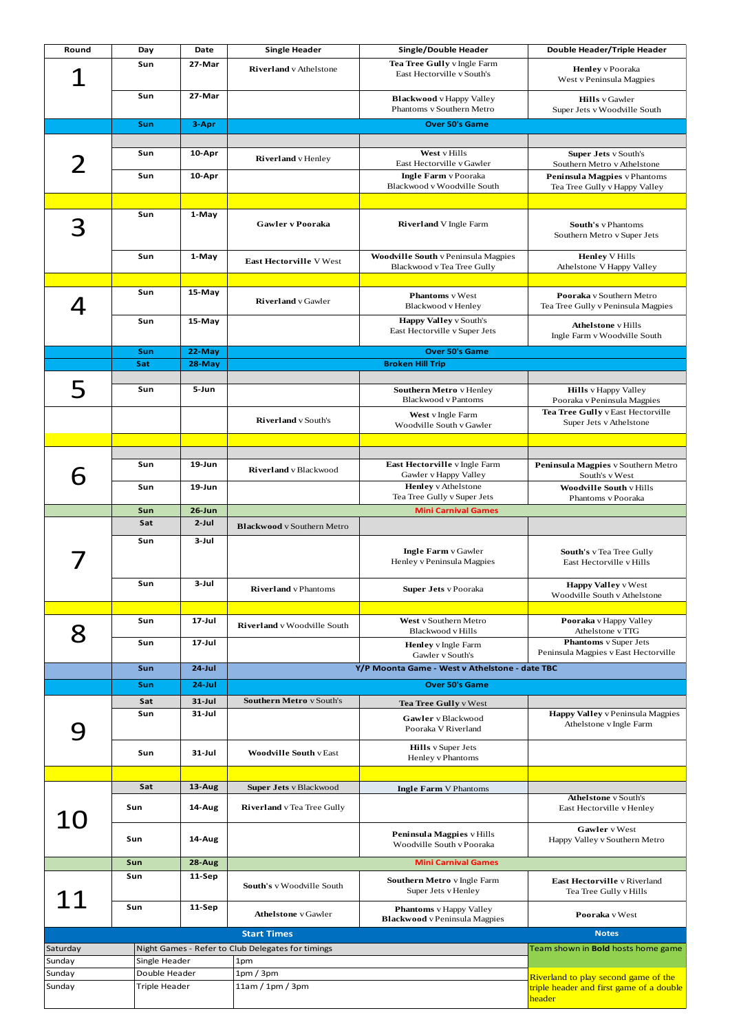| Round                   | Day           | Date       | <b>Single Header</b>                              | Single/Double Header                                                     | Double Header/Triple Header                                    |  |
|-------------------------|---------------|------------|---------------------------------------------------|--------------------------------------------------------------------------|----------------------------------------------------------------|--|
|                         | Sun           | 27-Mar     | <b>Riverland</b> v Athelstone                     | Tea Tree Gully v Ingle Farm<br>East Hectorville v South's                | <b>Henley</b> v Pooraka<br>West v Peninsula Magpies            |  |
|                         | Sun           | 27-Mar     |                                                   | <b>Blackwood</b> v Happy Valley<br>Phantoms v Southern Metro             | <b>Hills</b> v Gawler<br>Super Jets v Woodville South          |  |
|                         | Sun           | 3-Apr      |                                                   | <b>Over 50's Game</b>                                                    |                                                                |  |
|                         |               |            |                                                   |                                                                          |                                                                |  |
| 2                       | Sun           | 10-Apr     | <b>Riverland</b> v Henley                         | West v Hills<br>East Hectorville v Gawler                                | <b>Super Jets v South's</b><br>Southern Metro v Athelstone     |  |
|                         | Sun           | 10-Apr     |                                                   | <b>Ingle Farm</b> v Pooraka<br>Blackwood v Woodville South               | Peninsula Magpies v Phantoms<br>Tea Tree Gully v Happy Valley  |  |
|                         |               |            |                                                   |                                                                          |                                                                |  |
|                         | Sun           | 1-May      | Gawler v Pooraka                                  | <b>Riverland</b> V Ingle Farm                                            | South's v Phantoms<br>Southern Metro v Super Jets              |  |
|                         | Sun           | 1-May      | <b>East Hectorville V West</b>                    | <b>Woodville South v Peninsula Magpies</b><br>Blackwood v Tea Tree Gully | <b>Henley V Hills</b>                                          |  |
|                         |               |            |                                                   |                                                                          | Athelstone V Happy Valley                                      |  |
| 4                       | Sun           | 15-May     | <b>Riverland</b> v Gawler                         | <b>Phantoms</b> v West<br>Blackwood v Henley                             | Pooraka v Southern Metro<br>Tea Tree Gully v Peninsula Magpies |  |
|                         | Sun           | 15-May     |                                                   | <b>Happy Valley v South's</b><br>East Hectorville v Super Jets           | <b>Athelstone</b> v Hills<br>Ingle Farm v Woodville South      |  |
|                         | Sun           | 22-May     |                                                   | <b>Over 50's Game</b>                                                    |                                                                |  |
|                         | Sat           | 28-May     |                                                   | <b>Broken Hill Trip</b>                                                  |                                                                |  |
|                         |               |            |                                                   |                                                                          |                                                                |  |
| 5                       | Sun           | 5-Jun      |                                                   | Southern Metro v Henley<br><b>Blackwood v Pantoms</b>                    | <b>Hills</b> v Happy Valley<br>Pooraka v Peninsula Magpies     |  |
|                         |               |            | <b>Riverland</b> v South's                        | West v Ingle Farm<br>Woodville South v Gawler                            | Tea Tree Gully v East Hectorville<br>Super Jets v Athelstone   |  |
|                         |               |            |                                                   |                                                                          |                                                                |  |
|                         |               |            |                                                   |                                                                          |                                                                |  |
|                         | Sun           | $19 - Jun$ | Riverland v Blackwood                             | East Hectorville v Ingle Farm<br>Gawler v Happy Valley                   | Peninsula Magpies v Southern Metro<br>South's v West           |  |
|                         | Sun           | $19$ -Jun  |                                                   | <b>Henley</b> v Athelstone<br>Tea Tree Gully v Super Jets                | <b>Woodville South v Hills</b><br>Phantoms v Pooraka           |  |
|                         | Sun           | $26$ -Jun  |                                                   | <b>Mini Carnival Games</b>                                               |                                                                |  |
|                         | Sat           | $2$ -Jul   | <b>Blackwood</b> v Southern Metro                 |                                                                          |                                                                |  |
|                         | Sun           | 3-Jul      |                                                   | <b>Ingle Farm</b> v Gawler<br>Henley v Peninsula Magpies                 | South's v Tea Tree Gully<br>East Hectorville v Hills           |  |
|                         | Sun           | 3-Jul      | <b>Riverland</b> v Phantoms                       | <b>Super Jets</b> v Pooraka                                              | <b>Happy Valley v West</b><br>Woodville South v Athelstone     |  |
|                         | Sun           | $17 -$ Jul |                                                   | West v Southern Metro                                                    | Pooraka v Happy Valley                                         |  |
|                         |               |            | Riverland v Woodville South                       | Blackwood v Hills                                                        | Athelstone vTTG                                                |  |
|                         | Sun           | $17$ -Jul  |                                                   | Henley v Ingle Farm<br>Gawler v South's                                  | Phantoms v Super Jets<br>Peninsula Magpies v East Hectorville  |  |
|                         | Sun           | $24$ -Jul  |                                                   | Y/P Moonta Game - West v Athelstone - date TBC                           |                                                                |  |
|                         | Sun           | $24$ -Jul  |                                                   | <b>Over 50's Game</b>                                                    |                                                                |  |
|                         | Sat           | $31 -$ Jul | <b>Southern Metro</b> v South's                   | Tea Tree Gully v West                                                    |                                                                |  |
|                         | Sun           | $31 - Jul$ |                                                   | Gawler v Blackwood<br>Pooraka V Riverland                                | Happy Valley v Peninsula Magpies<br>Athelstone v Ingle Farm    |  |
|                         | Sun           | $31 - Jul$ | <b>Woodville South v East</b>                     | <b>Hills</b> v Super Jets<br>Henley v Phantoms                           |                                                                |  |
|                         |               |            |                                                   |                                                                          |                                                                |  |
|                         | Sat           | 13-Aug     | Super Jets v Blackwood                            | <b>Ingle Farm V Phantoms</b>                                             |                                                                |  |
|                         | Sun           | 14-Aug     | Riverland v Tea Tree Gully                        |                                                                          | <b>Athelstone</b> v South's<br>East Hectorville v Henley       |  |
|                         | Sun           | 14-Aug     |                                                   | Peninsula Magpies v Hills<br>Woodville South v Pooraka                   | Gawler v West<br>Happy Valley v Southern Metro                 |  |
|                         | Sun           | 28-Aug     |                                                   | <b>Mini Carnival Games</b>                                               |                                                                |  |
|                         | Sun           | 11-Sep     | South's v Woodville South                         | Southern Metro v Ingle Farm<br>Super Jets v Henley                       | East Hectorville v Riverland<br>Tea Tree Gully v Hills         |  |
|                         | Sun           | 11-Sep     | <b>Athelstone</b> v Gawler                        | <b>Phantoms</b> v Happy Valley<br><b>Blackwood</b> v Peninsula Magpies   | Pooraka v West                                                 |  |
|                         |               |            | <b>Start Times</b>                                |                                                                          | <b>Notes</b>                                                   |  |
| Saturday                |               |            | Night Games - Refer to Club Delegates for timings |                                                                          | Team shown in <b>Bold</b> hosts home game                      |  |
| Sunday                  | Single Header |            | 1pm                                               |                                                                          |                                                                |  |
| Sunday                  | Double Header |            | 1pm/3pm                                           |                                                                          | Riverland to play second game of the                           |  |
| Sunday<br>Triple Header |               |            | 11am / 1pm / 3pm                                  | triple header and first game of a double<br><u>header</u>                |                                                                |  |